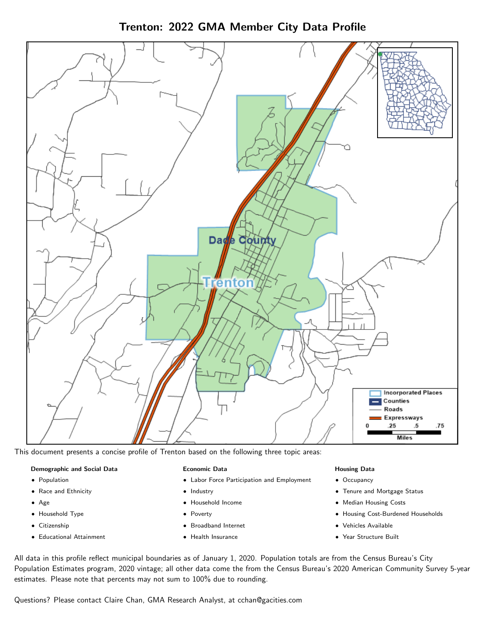Trenton: 2022 GMA Member City Data Profile



This document presents a concise profile of Trenton based on the following three topic areas:

#### Demographic and Social Data

- **•** Population
- Race and Ethnicity
- Age
- Household Type
- **Citizenship**
- Educational Attainment

#### Economic Data

- Labor Force Participation and Employment
- Industry
- Household Income
- Poverty
- Broadband Internet
- Health Insurance

#### Housing Data

- Occupancy
- Tenure and Mortgage Status
- Median Housing Costs
- Housing Cost-Burdened Households
- Vehicles Available
- Year Structure Built

All data in this profile reflect municipal boundaries as of January 1, 2020. Population totals are from the Census Bureau's City Population Estimates program, 2020 vintage; all other data come the from the Census Bureau's 2020 American Community Survey 5-year estimates. Please note that percents may not sum to 100% due to rounding.

Questions? Please contact Claire Chan, GMA Research Analyst, at [cchan@gacities.com.](mailto:cchan@gacities.com)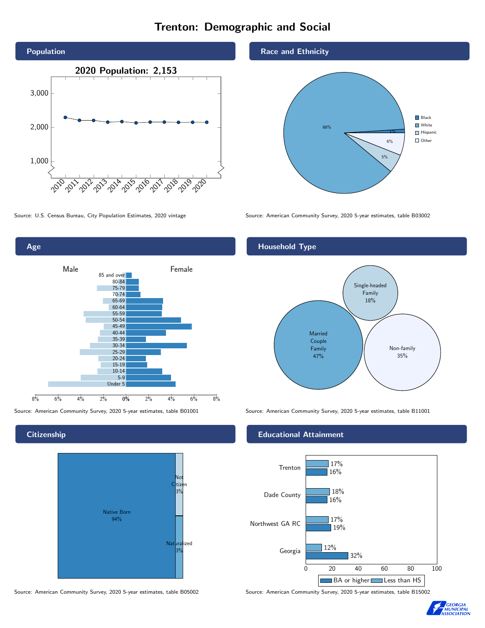# Trenton: Demographic and Social





**Citizenship** 



Source: American Community Survey, 2020 5-year estimates, table B05002 Source: American Community Survey, 2020 5-year estimates, table B15002

Race and Ethnicity



Source: U.S. Census Bureau, City Population Estimates, 2020 vintage Source: American Community Survey, 2020 5-year estimates, table B03002

# Household Type



## Educational Attainment



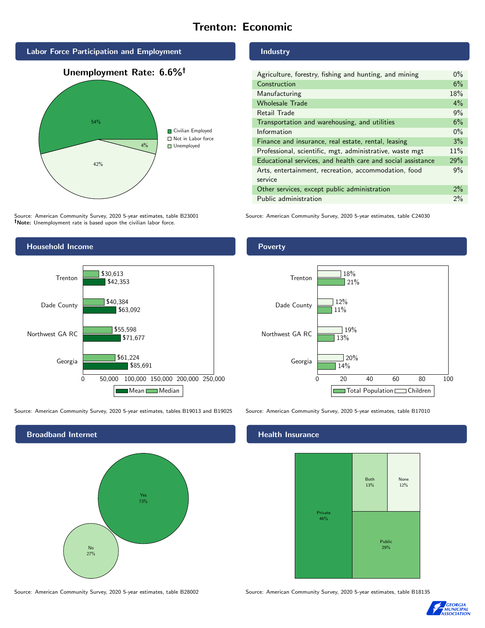# Trenton: Economic



Source: American Community Survey, 2020 5-year estimates, table B23001 Note: Unemployment rate is based upon the civilian labor force.

# Industry

| Agriculture, forestry, fishing and hunting, and mining      | $0\%$ |
|-------------------------------------------------------------|-------|
| Construction                                                | 6%    |
| Manufacturing                                               | 18%   |
| <b>Wholesale Trade</b>                                      | $4\%$ |
| Retail Trade                                                | 9%    |
| Transportation and warehousing, and utilities               | 6%    |
| Information                                                 | $0\%$ |
| Finance and insurance, real estate, rental, leasing         | 3%    |
| Professional, scientific, mgt, administrative, waste mgt    | 11%   |
| Educational services, and health care and social assistance | 29%   |
| Arts, entertainment, recreation, accommodation, food        | 9%    |
| service                                                     |       |
| Other services, except public administration                | $2\%$ |
| Public administration                                       | 2%    |

Source: American Community Survey, 2020 5-year estimates, table C24030



Source: American Community Survey, 2020 5-year estimates, tables B19013 and B19025 Source: American Community Survey, 2020 5-year estimates, table B17010



Poverty



## Health Insurance



Source: American Community Survey, 2020 5-year estimates, table B28002 Source: American Community Survey, 2020 5-year estimates, table B18135